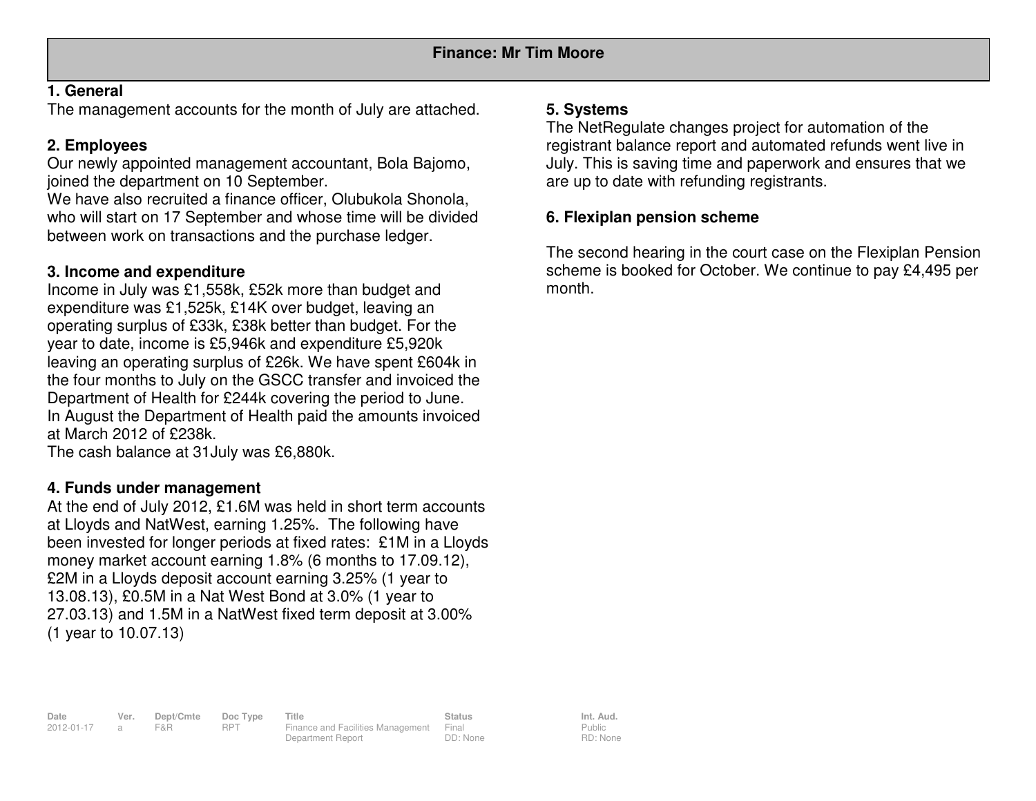## **1. General**

The management accounts for the month of July are attached.

# **2. Employees**

 Our newly appointed management accountant, Bola Bajomo, joined the department on 10 September.

 We have also recruited a finance officer, Olubukola Shonola, who will start on 17 September and whose time will be divided between work on transactions and the purchase ledger.

# **3. Income and expenditure**

 Income in July was £1,558k, £52k more than budget and expenditure was £1,525k, £14K over budget, leaving an operating surplus of £33k, £38k better than budget. For the year to date, income is £5,946k and expenditure £5,920k leaving an operating surplus of £26k. We have spent £604k in the four months to July on the GSCC transfer and invoiced the Department of Health for £244k covering the period to June. In August the Department of Health paid the amounts invoiced at March 2012 of £238k.

The cash balance at 31July was £6,880k.

## **4. Funds under management**

 At the end of July 2012, £1.6M was held in short term accounts at Lloyds and NatWest, earning 1.25%. The following have been invested for longer periods at fixed rates: £1M in a Lloyds money market account earning 1.8% (6 months to 17.09.12), £2M in a Lloyds deposit account earning 3.25% (1 year to 13.08.13), £0.5M in a Nat West Bond at 3.0% (1 year to 27.03.13) and 1.5M in a NatWest fixed term deposit at 3.00% (1 year to 10.07.13)

## **5. Systems**

 The NetRegulate changes project for automation of the registrant balance report and automated refunds went live in July. This is saving time and paperwork and ensures that we are up to date with refunding registrants.

# **6. Flexiplan pension scheme**

The second hearing in the court case on the Flexiplan Pension scheme is booked for October. We continue to pay £4,495 per month.

**Date Ver. Dept/Cmte Doc Type Title Status Status Int. Aud.**<br>
2012-01-17 a F&R RPT Finance and Facilities Management Final Status Public 2012-01-17 a F&R RPT Finance and Facilities Management Final Department Report DD: None

Public RD: None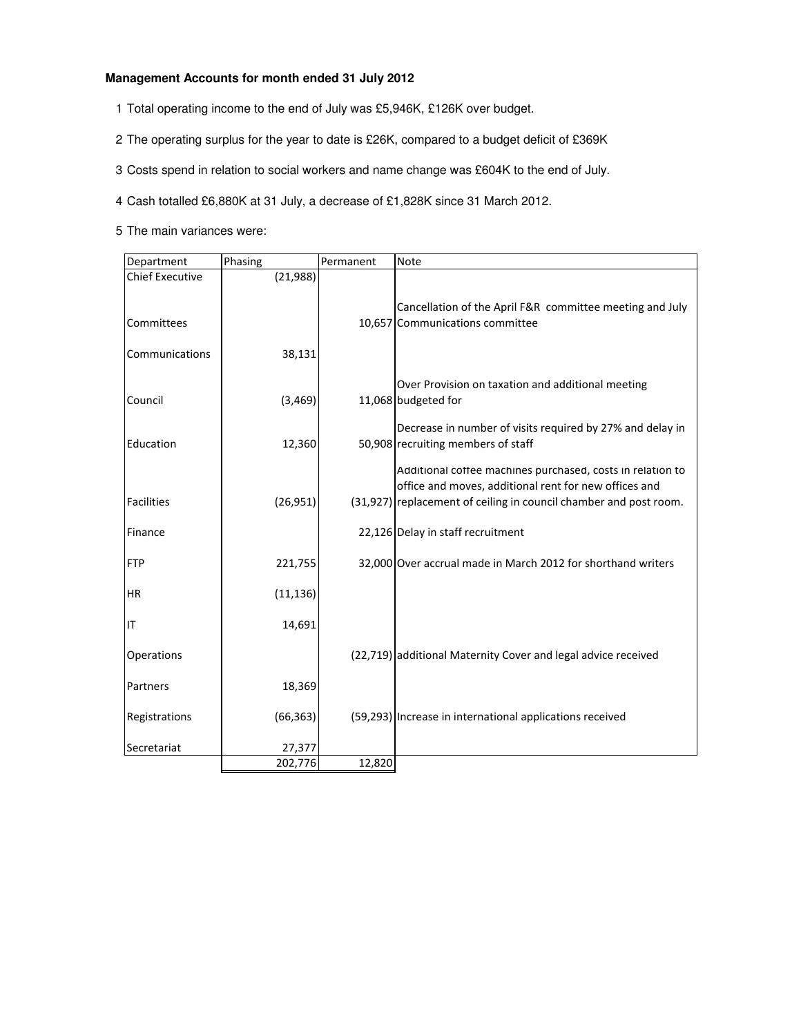#### **Management Accounts for month ended 31 July 2012**

- 1 Total operating income to the end of July was £5,946K, £126K over budget.
- 2 The operating surplus for the year to date is £26K, compared to a budget deficit of £369K
- 3 Costs spend in relation to social workers and name change was £604K to the end of July.
- 4 Cash totalled £6,880K at 31 July, a decrease of £1,828K since 31 March 2012.
- 5 The main variances were:

| Department                           | Phasing   | Permanent | <b>Note</b>                                                                                                                                                                              |
|--------------------------------------|-----------|-----------|------------------------------------------------------------------------------------------------------------------------------------------------------------------------------------------|
| <b>Chief Executive</b><br>Committees | (21,988)  |           | Cancellation of the April F&R committee meeting and July<br>10,657 Communications committee                                                                                              |
| Communications                       | 38,131    |           |                                                                                                                                                                                          |
| Council                              | (3, 469)  |           | Over Provision on taxation and additional meeting<br>11,068 budgeted for                                                                                                                 |
| Education                            | 12,360    |           | Decrease in number of visits required by 27% and delay in<br>50,908 recruiting members of staff                                                                                          |
| <b>Facilities</b>                    | (26, 951) |           | Additional coffee machines purchased, costs in relation to<br>office and moves, additional rent for new offices and<br>(31,927) replacement of ceiling in council chamber and post room. |
| Finance                              |           |           | 22,126 Delay in staff recruitment                                                                                                                                                        |
| <b>FTP</b>                           | 221,755   |           | 32,000 Over accrual made in March 2012 for shorthand writers                                                                                                                             |
| HR                                   | (11, 136) |           |                                                                                                                                                                                          |
| IT                                   | 14,691    |           |                                                                                                                                                                                          |
| Operations                           |           |           | (22,719) additional Maternity Cover and legal advice received                                                                                                                            |
| Partners                             | 18,369    |           |                                                                                                                                                                                          |
| Registrations                        | (66, 363) |           | (59,293) Increase in international applications received                                                                                                                                 |
| Secretariat                          | 27,377    | 12,820    |                                                                                                                                                                                          |
|                                      | 202,776   |           |                                                                                                                                                                                          |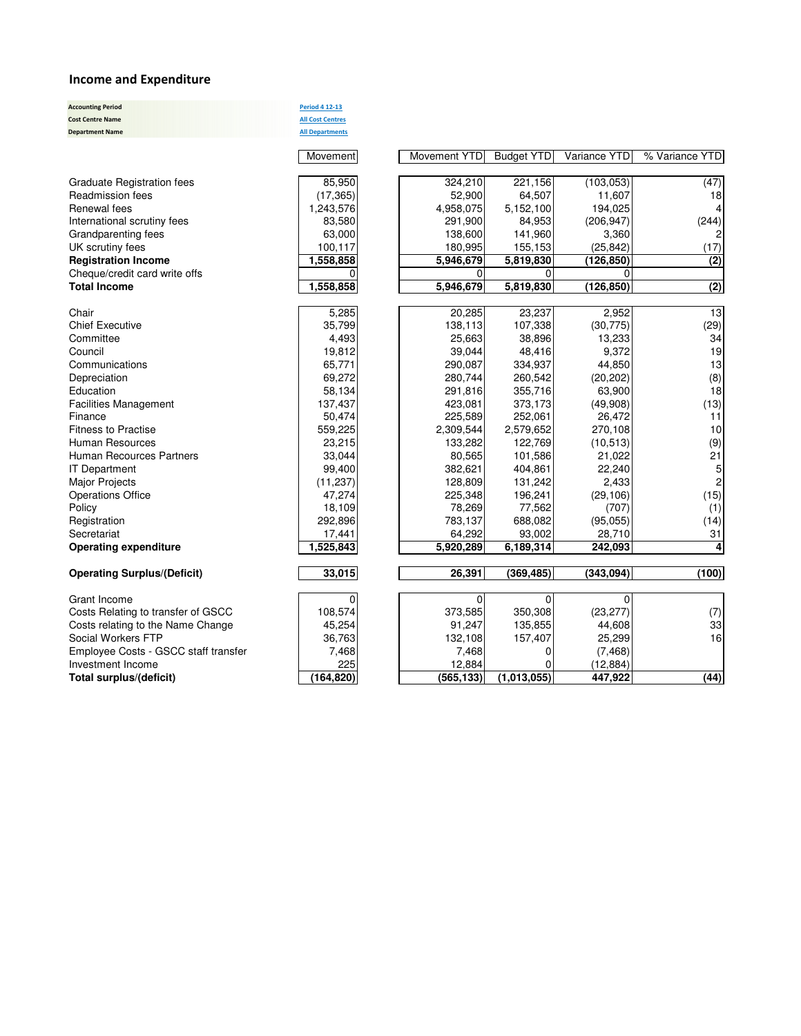#### Income and Expenditure

| <b>Accounting Period</b><br><b>Cost Centre Name</b><br><b>Department Name</b> | <b>Period 4 12-13</b><br><b>All Cost Centres</b><br><b>All Departments</b> |
|-------------------------------------------------------------------------------|----------------------------------------------------------------------------|
|                                                                               | Movement                                                                   |
|                                                                               |                                                                            |
| <b>Graduate Registration fees</b>                                             | 85,950                                                                     |
| Readmission fees                                                              | (17, 365)                                                                  |
| Renewal fees                                                                  | 1,243,576                                                                  |
| International scrutiny fees                                                   | 83,580                                                                     |
| Grandparenting fees                                                           | 63,000                                                                     |
| UK scrutiny fees                                                              | 100,117                                                                    |
| <b>Registration Income</b>                                                    | 1,558,858                                                                  |
| Cheque/credit card write offs                                                 |                                                                            |
| <b>Total Income</b>                                                           | 1,558,858                                                                  |
|                                                                               |                                                                            |
| Chair                                                                         | 5,285                                                                      |
| <b>Chief Executive</b>                                                        | 35,799                                                                     |
| Committee                                                                     | 4,493                                                                      |
| Council                                                                       | 19,812                                                                     |
| Communications                                                                | 65,771                                                                     |
| Depreciation                                                                  | 69,272                                                                     |
| Education                                                                     | 58,134                                                                     |
| <b>Facilities Management</b>                                                  | 137,437                                                                    |
| Finance                                                                       | 50,474                                                                     |
| <b>Fitness to Practise</b>                                                    | 559,225                                                                    |
| Human Resources                                                               | 23,215                                                                     |
| <b>Human Recources Partners</b>                                               | 33,044                                                                     |
| <b>IT Department</b>                                                          | 99,400                                                                     |
| <b>Major Projects</b>                                                         | (11, 237)                                                                  |
| <b>Operations Office</b>                                                      | 47,274                                                                     |
| Policy                                                                        | 18,109                                                                     |
| Registration                                                                  | 292,896                                                                    |
| Secretariat                                                                   | 17,441                                                                     |
| <b>Operating expenditure</b>                                                  | 1,525,843                                                                  |
| <b>Operating Surplus/(Deficit)</b>                                            | 33,015                                                                     |
|                                                                               |                                                                            |
| Grant Income                                                                  | 0                                                                          |
| Costs Relating to transfer of GSCC<br>Costs relating to the Name Change       | 108,574                                                                    |
| Social Workers FTP                                                            | 45,254<br>36,763                                                           |
| Employee Costs - GSCC staff transfer                                          | 7,468                                                                      |
| Investment Income                                                             | 225                                                                        |
| Total surplus/(deficit)                                                       | (164, 820)                                                                 |
|                                                                               |                                                                            |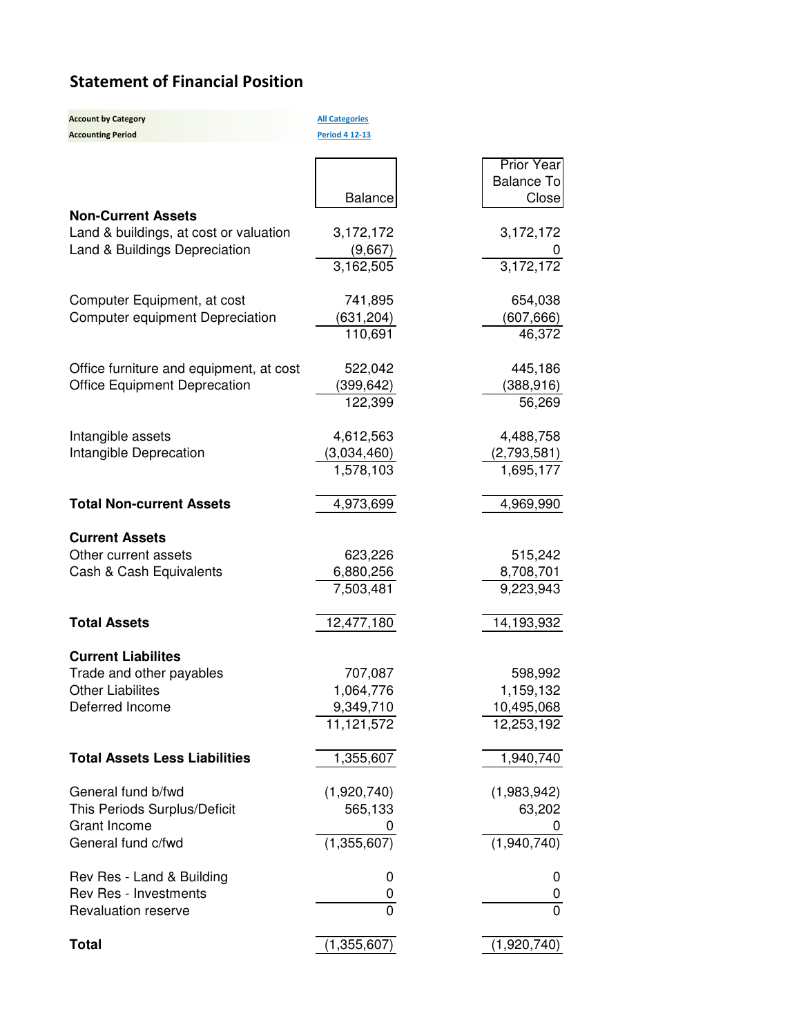# Statement of Financial Position

Accounting Period **Period 4 12-13** 

**Account by Category All Categories** 

|                                         |                | <b>Prior Year</b> |
|-----------------------------------------|----------------|-------------------|
|                                         |                | <b>Balance To</b> |
| <b>Non-Current Assets</b>               | <b>Balance</b> | Close             |
| Land & buildings, at cost or valuation  | 3,172,172      | 3,172,172         |
| Land & Buildings Depreciation           | (9,667)        |                   |
|                                         | 3,162,505      | 3,172,172         |
| Computer Equipment, at cost             | 741,895        | 654,038           |
| Computer equipment Depreciation         | (631, 204)     | (607, 666)        |
|                                         | 110,691        | 46,372            |
| Office furniture and equipment, at cost | 522,042        | 445,186           |
| <b>Office Equipment Deprecation</b>     | (399, 642)     | (388, 916)        |
|                                         | 122,399        | 56,269            |
| Intangible assets                       | 4,612,563      | 4,488,758         |
| Intangible Deprecation                  | (3,034,460)    | (2,793,581)       |
|                                         | 1,578,103      | 1,695,177         |
| <b>Total Non-current Assets</b>         | 4,973,699      | 4,969,990         |
| <b>Current Assets</b>                   |                |                   |
| Other current assets                    | 623,226        | 515,242           |
| Cash & Cash Equivalents                 | 6,880,256      | 8,708,701         |
|                                         | 7,503,481      | 9,223,943         |
| <b>Total Assets</b>                     | 12,477,180     | 14,193,932        |
| <b>Current Liabilites</b>               |                |                   |
| Trade and other payables                | 707,087        | 598,992           |
| <b>Other Liabilites</b>                 | 1,064,776      | 1,159,132         |
| Deferred Income                         | 9,349,710      | 10,495,068        |
|                                         | 11,121,572     | 12,253,192        |
| <b>Total Assets Less Liabilities</b>    | 1,355,607      | 1,940,740         |
| General fund b/fwd                      | (1,920,740)    | (1,983,942)       |
| This Periods Surplus/Deficit            | 565,133        | 63,202            |
| Grant Income                            |                |                   |
| General fund c/fwd                      | (1,355,607)    | (1,940,740)       |
| Rev Res - Land & Building               | 0              | 0                 |
| Rev Res - Investments                   | 0              | 0                 |
| <b>Revaluation reserve</b>              | $\overline{0}$ | $\overline{0}$    |
| <b>Total</b>                            | (1,355,607)    | (1,920,740)       |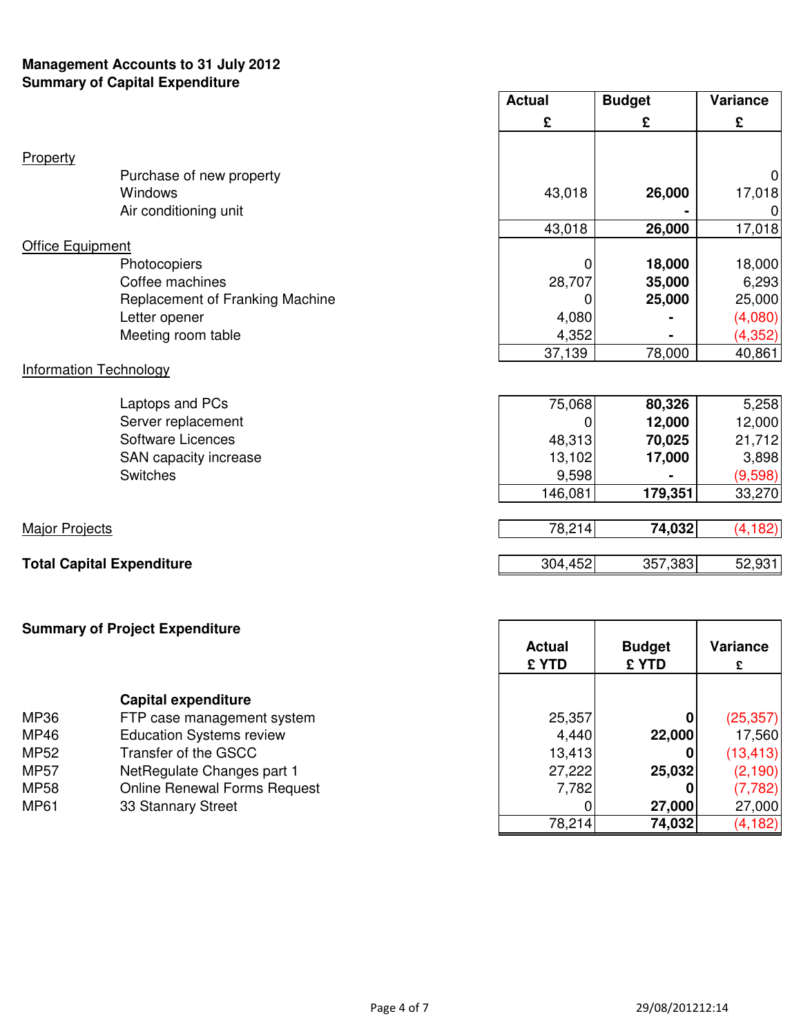## **Management Accounts to 31 July 2012 Summary of Capital Expenditure**

|                                  | <b>Actual</b> | <b>Budget</b> | <b>Variance</b> |
|----------------------------------|---------------|---------------|-----------------|
|                                  | £             | £             | £               |
| Property                         |               |               |                 |
| Purchase of new property         |               |               | $\overline{0}$  |
| Windows                          | 43,018        | 26,000        | 17,018          |
| Air conditioning unit            |               |               |                 |
|                                  | 43,018        | 26,000        | 17,018          |
| <b>Office Equipment</b>          |               |               |                 |
| Photocopiers                     | O             | 18,000        | 18,000          |
| Coffee machines                  | 28,707        | 35,000        | 6,293           |
| Replacement of Franking Machine  | 0             | 25,000        | 25,000          |
| Letter opener                    | 4,080         |               | (4,080)         |
| Meeting room table               | 4,352         |               | (4,352)         |
|                                  | 37,139        | 78,000        | 40,861          |
| <b>Information Technology</b>    |               |               |                 |
| Laptops and PCs                  | 75,068        | 80,326        | 5,258           |
| Server replacement               | 0             | 12,000        | 12,000          |
| <b>Software Licences</b>         | 48,313        | 70,025        | 21,712          |
| SAN capacity increase            | 13,102        | 17,000        | 3,898           |
| <b>Switches</b>                  | 9,598         |               | (9,598)         |
|                                  | 146,081       | 179,351       | 33,270          |
|                                  |               |               |                 |
| <b>Major Projects</b>            | 78,214        | 74,032        | (4, 182)        |
| <b>Total Capital Expenditure</b> | 304,452       | 357,383       | 52,931          |
|                                  |               |               |                 |

# **Summary of Project Expenditure Capital expenditure** MP36 FTP case management system MP46 **Education Systems review** MP52 Transfer of the GSCC MP57 NetRegulate Changes part 1

MP58 Online Renewal Forms Request MP61 33 Stannary Street

| Actual<br><b>£ YTD</b> | <b>Budget</b><br><b>£YTD</b> | <b>Variance</b><br>£ |  |
|------------------------|------------------------------|----------------------|--|
|                        |                              |                      |  |
| 25,357                 | n                            | (25, 357)            |  |
| 4,440                  | 22,000                       | 17,560               |  |
| 13,413                 |                              | (13, 413)            |  |
| 27,222                 | 25,032                       | (2, 190)             |  |
| 7,782                  |                              | (7, 782)             |  |
|                        | 27,000                       | 27,000               |  |
| 78,214                 | 74,032                       | (4, 182)             |  |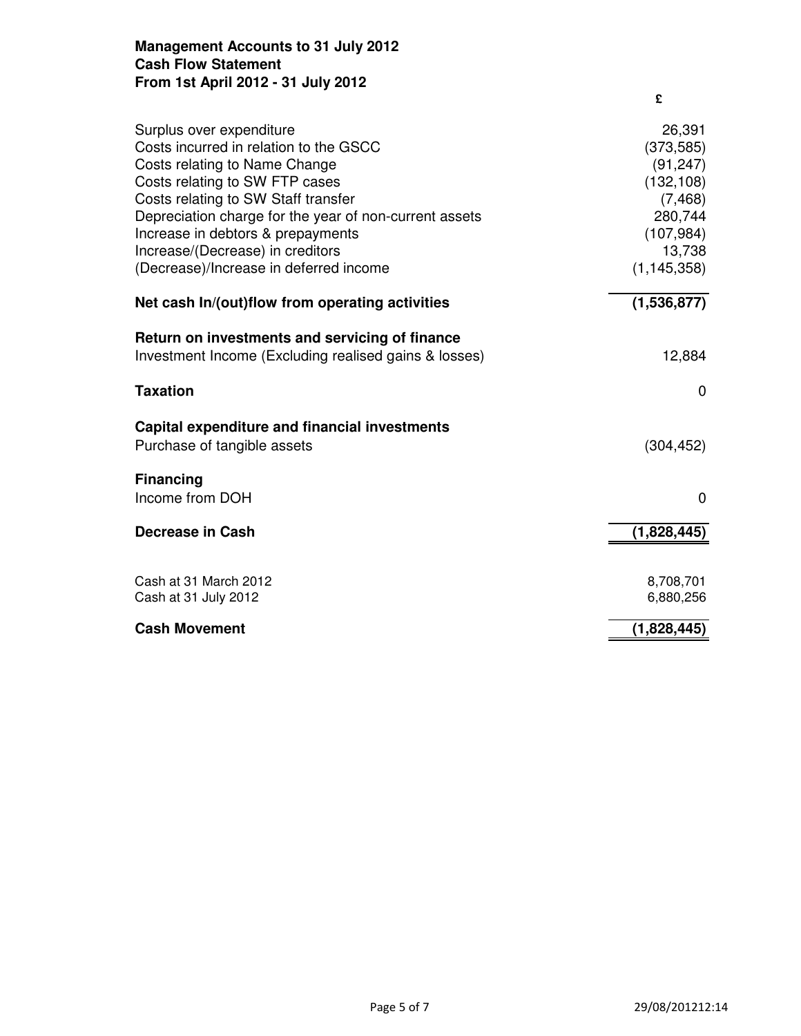## **Management Accounts to 31 July 2012 Cash Flow Statement From 1st April 2012 - 31 July 2012**

|                                                                                                                                                                                                                                                                                                                                                           | £                                                                                                               |
|-----------------------------------------------------------------------------------------------------------------------------------------------------------------------------------------------------------------------------------------------------------------------------------------------------------------------------------------------------------|-----------------------------------------------------------------------------------------------------------------|
| Surplus over expenditure<br>Costs incurred in relation to the GSCC<br>Costs relating to Name Change<br>Costs relating to SW FTP cases<br>Costs relating to SW Staff transfer<br>Depreciation charge for the year of non-current assets<br>Increase in debtors & prepayments<br>Increase/(Decrease) in creditors<br>(Decrease)/Increase in deferred income | 26,391<br>(373, 585)<br>(91, 247)<br>(132, 108)<br>(7, 468)<br>280,744<br>(107, 984)<br>13,738<br>(1, 145, 358) |
| Net cash In/(out)flow from operating activities                                                                                                                                                                                                                                                                                                           | (1,536,877)                                                                                                     |
| Return on investments and servicing of finance<br>Investment Income (Excluding realised gains & losses)                                                                                                                                                                                                                                                   | 12,884                                                                                                          |
| <b>Taxation</b>                                                                                                                                                                                                                                                                                                                                           | 0                                                                                                               |
| Capital expenditure and financial investments<br>Purchase of tangible assets                                                                                                                                                                                                                                                                              | (304, 452)                                                                                                      |
| <b>Financing</b>                                                                                                                                                                                                                                                                                                                                          |                                                                                                                 |
| Income from DOH                                                                                                                                                                                                                                                                                                                                           | 0                                                                                                               |
| Decrease in Cash                                                                                                                                                                                                                                                                                                                                          | (1,828,445)                                                                                                     |
| Cash at 31 March 2012<br>Cash at 31 July 2012                                                                                                                                                                                                                                                                                                             | 8,708,701<br>6,880,256                                                                                          |
| <b>Cash Movement</b>                                                                                                                                                                                                                                                                                                                                      | (1,828,445)                                                                                                     |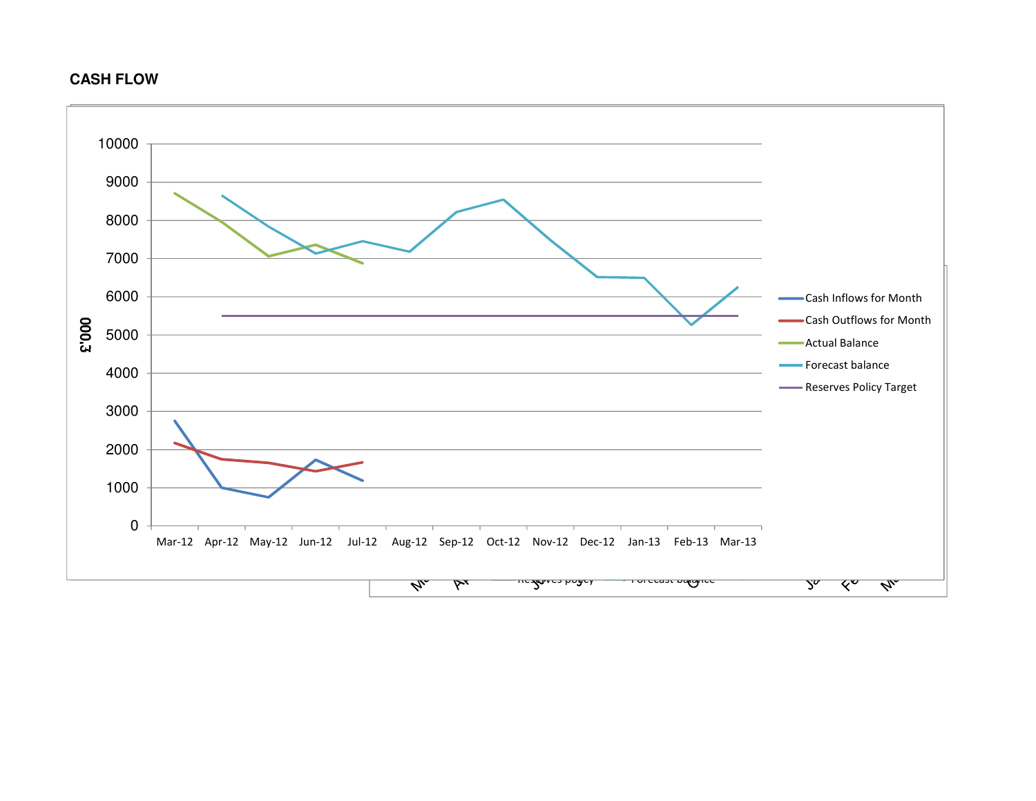## **CASH FLOW**